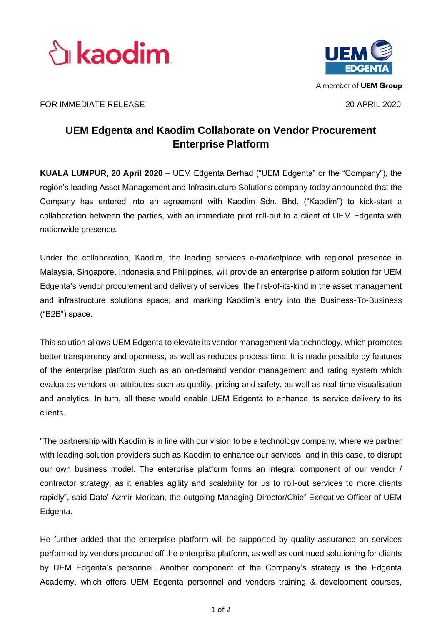



## FOR IMMEDIATE RELEASE 20 APRIL 2020

# **UEM Edgenta and Kaodim Collaborate on Vendor Procurement Enterprise Platform**

**KUALA LUMPUR, 20 April 2020** – UEM Edgenta Berhad ("UEM Edgenta" or the "Company"), the region's leading Asset Management and Infrastructure Solutions company today announced that the Company has entered into an agreement with Kaodim Sdn. Bhd. ("Kaodim") to kick-start a collaboration between the parties, with an immediate pilot roll-out to a client of UEM Edgenta with nationwide presence.

Under the collaboration, Kaodim, the leading services e-marketplace with regional presence in Malaysia, Singapore, Indonesia and Philippines, will provide an enterprise platform solution for UEM Edgenta's vendor procurement and delivery of services, the first-of-its-kind in the asset management and infrastructure solutions space, and marking Kaodim's entry into the Business-To-Business ("B2B") space.

This solution allows UEM Edgenta to elevate its vendor management via technology, which promotes better transparency and openness, as well as reduces process time. It is made possible by features of the enterprise platform such as an on-demand vendor management and rating system which evaluates vendors on attributes such as quality, pricing and safety, as well as real-time visualisation and analytics. In turn, all these would enable UEM Edgenta to enhance its service delivery to its clients.

"The partnership with Kaodim is in line with our vision to be a technology company, where we partner with leading solution providers such as Kaodim to enhance our services, and in this case, to disrupt our own business model. The enterprise platform forms an integral component of our vendor / contractor strategy, as it enables agility and scalability for us to roll-out services to more clients rapidly", said Dato' Azmir Merican, the outgoing Managing Director/Chief Executive Officer of UEM Edgenta.

He further added that the enterprise platform will be supported by quality assurance on services performed by vendors procured off the enterprise platform, as well as continued solutioning for clients by UEM Edgenta's personnel. Another component of the Company's strategy is the Edgenta Academy, which offers UEM Edgenta personnel and vendors training & development courses,